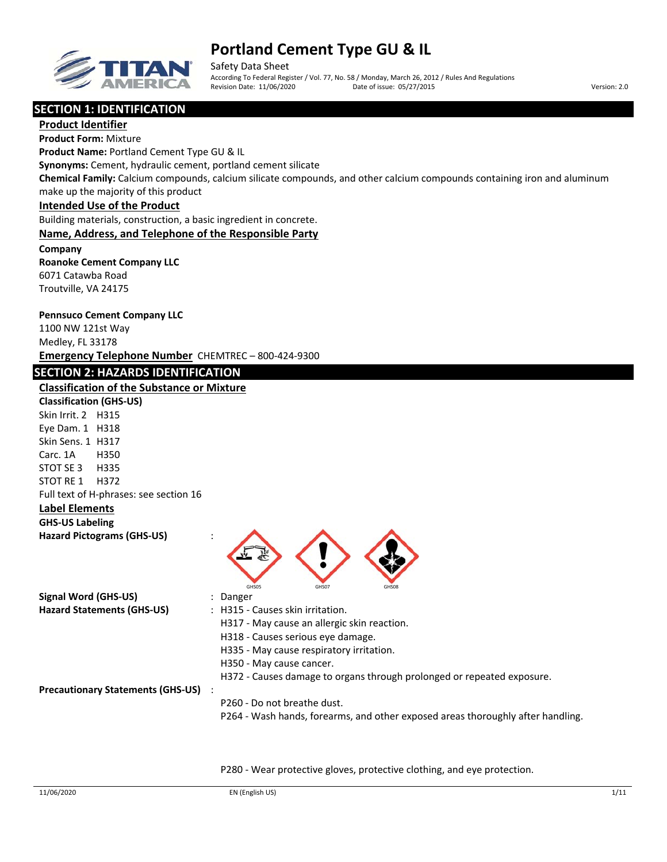

Safety Data Sheet According To Federal Register / Vol. 77, No. 58 / Monday, March 26, 2012 / Rules And Regulations Revision Date: 11/06/2020 Date of issue: 05/27/2015 Version: 2.0

## **SECTION 1: IDENTIFICATION**

**Product Identifier Product Form:** Mixture **Product Name:** Portland Cement Type GU & IL **Synonyms:** Cement, hydraulic cement, portland cement silicate **Chemical Family:** Calcium compounds, calcium silicate compounds, and other calcium compounds containing iron and aluminum make up the majority of this product **Intended Use of the Product** Building materials, construction, a basic ingredient in concrete. **Name, Address, and Telephone of the Responsible Party Company Roanoke Cement Company LLC** 6071 Catawba Road Troutville, VA 24175 **Pennsuco Cement Company LLC** 1100 NW 121st Way Medley, FL 33178 **Emergency Telephone Number** CHEMTREC – 800‐424‐9300 **SECTION 2: HAZARDS IDENTIFICATION Classification of the Substance or Mixture Classification (GHS‐US)** Skin Irrit. 2 H315 Eye Dam. 1 H318 Skin Sens. 1 H317 Carc. 1A H350 STOT SE 3 H335 STOT RE 1 H372 Full text of H‐phrases: see section 16 **Label Elements GHS‐US Labeling Hazard Pictograms (GHS‐US)** : GHS05 GHS07 GHS07 GHS08 **Signal Word (GHS‐US)** : Danger **Hazard Statements (GHS‐US)** : H315 ‐ Causes skin irritation. H317 ‐ May cause an allergic skin reaction. H318 ‐ Causes serious eye damage. H335 ‐ May cause respiratory irritation. H350 ‐ May cause cancer. H372 - Causes damage to organs through prolonged or repeated exposure. **Precautionary Statements (GHS‐US)** : P260 ‐ Do not breathe dust. P264 - Wash hands, forearms, and other exposed areas thoroughly after handling.

P280 ‐ Wear protective gloves, protective clothing, and eye protection.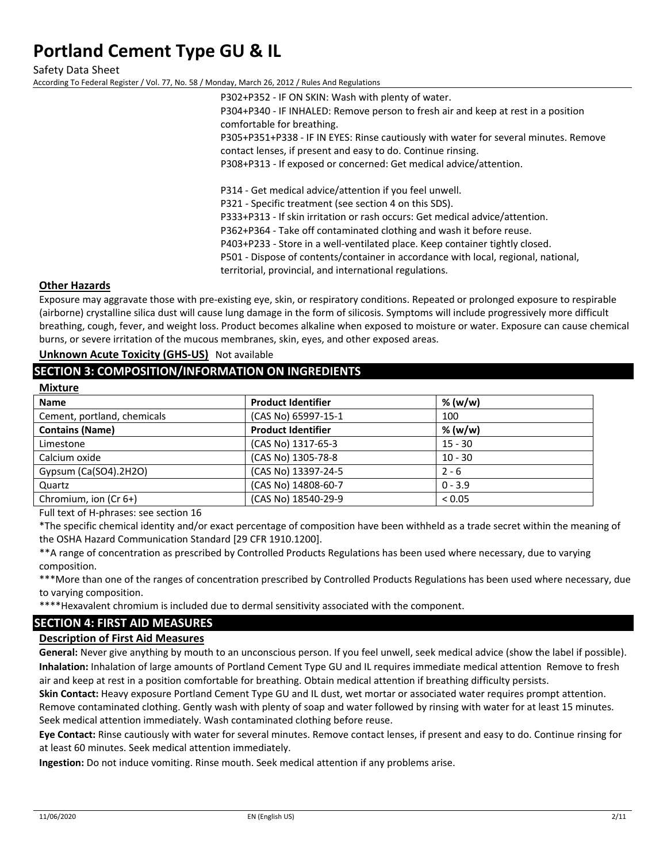Safety Data Sheet According To Federal Register / Vol. 77, No. 58 / Monday, March 26, 2012 / Rules And Regulations

> P302+P352 ‐ IF ON SKIN: Wash with plenty of water. P304+P340 ‐ IF INHALED: Remove person to fresh air and keep at rest in a position comfortable for breathing. P305+P351+P338 ‐ IF IN EYES: Rinse cautiously with water for several minutes. Remove contact lenses, if present and easy to do. Continue rinsing. P308+P313 ‐ If exposed or concerned: Get medical advice/attention. P314 ‐ Get medical advice/attention if you feel unwell. P321 - Specific treatment (see section 4 on this SDS). P333+P313 ‐ If skin irritation or rash occurs: Get medical advice/attention. P362+P364 ‐ Take off contaminated clothing and wash it before reuse. P403+P233 ‐ Store in a well‐ventilated place. Keep container tightly closed.

P501 ‐ Dispose of contents/container in accordance with local, regional, national,

territorial, provincial, and international regulations.

### **Other Hazards**

Exposure may aggravate those with pre‐existing eye, skin, or respiratory conditions. Repeated or prolonged exposure to respirable (airborne) crystalline silica dust will cause lung damage in the form of silicosis. Symptoms will include progressively more difficult breathing, cough, fever, and weight loss. Product becomes alkaline when exposed to moisture or water. Exposure can cause chemical burns, or severe irritation of the mucous membranes, skin, eyes, and other exposed areas.

## **Unknown Acute Toxicity (GHS‐US)** Not available

## **SECTION 3: COMPOSITION/INFORMATION ON INGREDIENTS**

| <b>Mixture</b>              |                           |           |  |
|-----------------------------|---------------------------|-----------|--|
| <b>Name</b>                 | <b>Product Identifier</b> | % (w/w)   |  |
| Cement, portland, chemicals | (CAS No) 65997-15-1       | 100       |  |
| <b>Contains (Name)</b>      | <b>Product Identifier</b> | % (w/w)   |  |
| Limestone                   | (CAS No) 1317-65-3        | $15 - 30$ |  |
| Calcium oxide               | (CAS No) 1305-78-8        | $10 - 30$ |  |
| Gypsum (Ca(SO4).2H2O)       | (CAS No) 13397-24-5       | $2 - 6$   |  |
| Quartz                      | (CAS No) 14808-60-7       | $0 - 3.9$ |  |
| Chromium, ion (Cr 6+)       | (CAS No) 18540-29-9       | < 0.05    |  |

Full text of H‐phrases: see section 16

\*The specific chemical identity and/or exact percentage of composition have been withheld as a trade secret within the meaning of the OSHA Hazard Communication Standard [29 CFR 1910.1200].

\*\*A range of concentration as prescribed by Controlled Products Regulations has been used where necessary, due to varying composition.

\*\*\*More than one of the ranges of concentration prescribed by Controlled Products Regulations has been used where necessary, due to varying composition.

\*\*\*\*Hexavalent chromium is included due to dermal sensitivity associated with the component.

## **SECTION 4: FIRST AID MEASURES**

## **Description of First Aid Measures**

**General:** Never give anything by mouth to an unconscious person. If you feel unwell, seek medical advice (show the label if possible). **Inhalation:** Inhalation of large amounts of Portland Cement Type GU and IL requires immediate medical attention Remove to fresh air and keep at rest in a position comfortable for breathing. Obtain medical attention if breathing difficulty persists.

**Skin Contact:** Heavy exposure Portland Cement Type GU and IL dust, wet mortar or associated water requires prompt attention. Remove contaminated clothing. Gently wash with plenty of soap and water followed by rinsing with water for at least 15 minutes. Seek medical attention immediately. Wash contaminated clothing before reuse.

**Eye Contact:** Rinse cautiously with water for several minutes. Remove contact lenses, if present and easy to do. Continue rinsing for at least 60 minutes. Seek medical attention immediately.

**Ingestion:** Do not induce vomiting. Rinse mouth. Seek medical attention if any problems arise.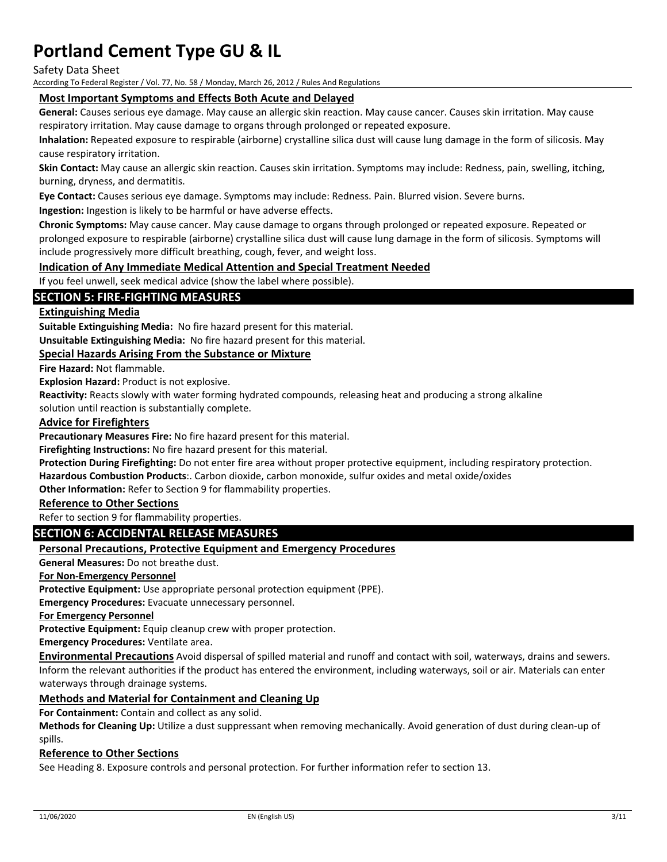Safety Data Sheet

According To Federal Register / Vol. 77, No. 58 / Monday, March 26, 2012 / Rules And Regulations

## **Most Important Symptoms and Effects Both Acute and Delayed**

**General:** Causes serious eye damage. May cause an allergic skin reaction. May cause cancer. Causes skin irritation. May cause respiratory irritation. May cause damage to organs through prolonged or repeated exposure.

**Inhalation:** Repeated exposure to respirable (airborne) crystalline silica dust will cause lung damage in the form of silicosis. May cause respiratory irritation.

**Skin Contact:** May cause an allergic skin reaction. Causes skin irritation. Symptoms may include: Redness, pain, swelling, itching, burning, dryness, and dermatitis.

**Eye Contact:** Causes serious eye damage. Symptoms may include: Redness. Pain. Blurred vision. Severe burns.

**Ingestion:** Ingestion is likely to be harmful or have adverse effects.

**Chronic Symptoms:** May cause cancer. May cause damage to organs through prolonged or repeated exposure. Repeated or prolonged exposure to respirable (airborne) crystalline silica dust will cause lung damage in the form of silicosis. Symptoms will include progressively more difficult breathing, cough, fever, and weight loss.

#### **Indication of Any Immediate Medical Attention and Special Treatment Needed**

If you feel unwell, seek medical advice (show the label where possible).

## **SECTION 5: FIRE‐FIGHTING MEASURES**

## **Extinguishing Media**

**Suitable Extinguishing Media:** No fire hazard present for this material.

**Unsuitable Extinguishing Media:** No fire hazard present for this material.

### **Special Hazards Arising From the Substance or Mixture**

**Fire Hazard:** Not flammable.

**Explosion Hazard:** Product is not explosive.

**Reactivity:** Reacts slowly with water forming hydrated compounds, releasing heat and producing a strong alkaline

solution until reaction is substantially complete.

#### **Advice for Firefighters**

**Precautionary Measures Fire:** No fire hazard present for this material.

**Firefighting Instructions:** No fire hazard present for this material.

**Protection During Firefighting:** Do not enter fire area without proper protective equipment, including respiratory protection. **Hazardous Combustion Products**:. Carbon dioxide, carbon monoxide, sulfur oxides and metal oxide/oxides

**Other Information:** Refer to Section 9 for flammability properties.

### **Reference to Other Sections**

Refer to section 9 for flammability properties.

### **SECTION 6: ACCIDENTAL RELEASE MEASURES**

#### **Personal Precautions, Protective Equipment and Emergency Procedures**

**General Measures:** Do not breathe dust.

**For Non‐Emergency Personnel**

**Protective Equipment:** Use appropriate personal protection equipment (PPE).

**Emergency Procedures:** Evacuate unnecessary personnel.

**For Emergency Personnel**

**Protective Equipment:** Equip cleanup crew with proper protection.

**Emergency Procedures:** Ventilate area.

**Environmental Precautions** Avoid dispersal of spilled material and runoff and contact with soil, waterways, drains and sewers. Inform the relevant authorities if the product has entered the environment, including waterways, soil or air. Materials can enter waterways through drainage systems.

#### **Methods and Material for Containment and Cleaning Up**

**For Containment:** Contain and collect as any solid.

**Methods for Cleaning Up:** Utilize a dust suppressant when removing mechanically. Avoid generation of dust during clean‐up of spills.

#### **Reference to Other Sections**

See Heading 8. Exposure controls and personal protection. For further information refer to section 13.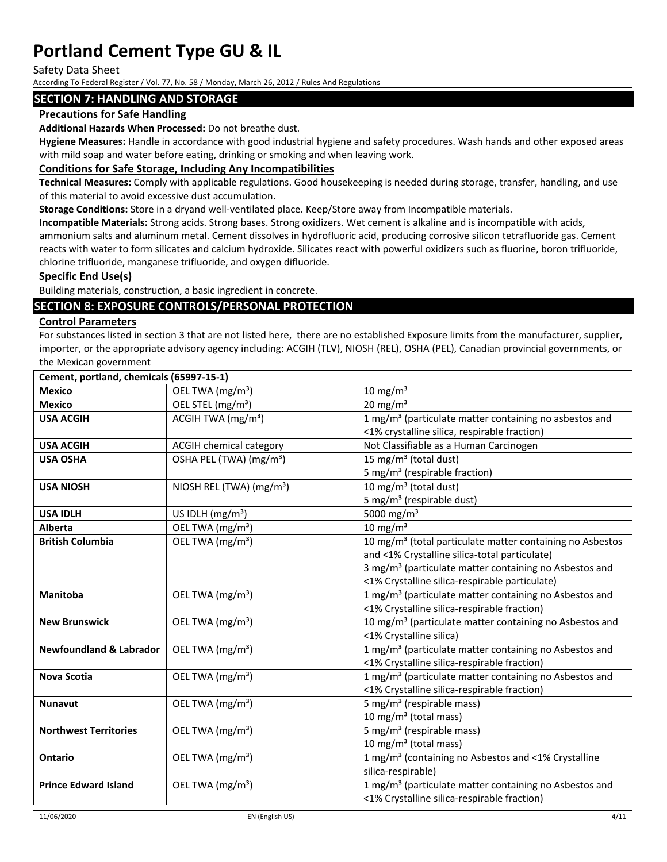Safety Data Sheet

According To Federal Register / Vol. 77, No. 58 / Monday, March 26, 2012 / Rules And Regulations

## **SECTION 7: HANDLING AND STORAGE**

## **Precautions for Safe Handling**

**Additional Hazards When Processed:** Do not breathe dust.

**Hygiene Measures:** Handle in accordance with good industrial hygiene and safety procedures. Wash hands and other exposed areas with mild soap and water before eating, drinking or smoking and when leaving work.

## **Conditions for Safe Storage, Including Any Incompatibilities**

**Technical Measures:** Comply with applicable regulations. Good housekeeping is needed during storage, transfer, handling, and use of this material to avoid excessive dust accumulation.

**Storage Conditions:** Store in a dryand well‐ventilated place. Keep/Store away from Incompatible materials.

**Incompatible Materials:** Strong acids. Strong bases. Strong oxidizers. Wet cement is alkaline and is incompatible with acids, ammonium salts and aluminum metal. Cement dissolves in hydrofluoric acid, producing corrosive silicon tetrafluoride gas. Cement reacts with water to form silicates and calcium hydroxide. Silicates react with powerful oxidizers such as fluorine, boron trifluoride, chlorine trifluoride, manganese trifluoride, and oxygen difluoride.

## **Specific End Use(s)**

Building materials, construction, a basic ingredient in concrete.

## **SECTION 8: EXPOSURE CONTROLS/PERSONAL PROTECTION**

## **Control Parameters**

For substances listed in section 3 that are not listed here, there are no established Exposure limits from the manufacturer, supplier, importer, or the appropriate advisory agency including: ACGIH (TLV), NIOSH (REL), OSHA (PEL), Canadian provincial governments, or the Mexican government

| Cement, portland, chemicals (65997-15-1) |                                      |                                                                       |
|------------------------------------------|--------------------------------------|-----------------------------------------------------------------------|
| <b>Mexico</b>                            | OEL TWA (mg/m <sup>3</sup> )         | $10 \text{ mg/m}^3$                                                   |
| <b>Mexico</b>                            | OEL STEL (mg/m <sup>3</sup> )        | $20 \text{ mg/m}^3$                                                   |
| <b>USA ACGIH</b>                         | ACGIH TWA $(mg/m3)$                  | 1 mg/m <sup>3</sup> (particulate matter containing no asbestos and    |
|                                          |                                      | <1% crystalline silica, respirable fraction)                          |
| <b>USA ACGIH</b>                         | <b>ACGIH chemical category</b>       | Not Classifiable as a Human Carcinogen                                |
| <b>USA OSHA</b>                          | OSHA PEL (TWA) (mg/m <sup>3</sup> )  | 15 mg/m <sup>3</sup> (total dust)                                     |
|                                          |                                      | 5 mg/m <sup>3</sup> (respirable fraction)                             |
| <b>USA NIOSH</b>                         | NIOSH REL (TWA) (mg/m <sup>3</sup> ) | 10 mg/m <sup>3</sup> (total dust)                                     |
|                                          |                                      | 5 mg/m <sup>3</sup> (respirable dust)                                 |
| <b>USA IDLH</b>                          | US IDLH (mg/m <sup>3</sup> )         | 5000 mg/m <sup>3</sup>                                                |
| <b>Alberta</b>                           | OEL TWA (mg/m <sup>3</sup> )         | $10 \text{ mg/m}^3$                                                   |
| <b>British Columbia</b>                  | OEL TWA (mg/m <sup>3</sup> )         | 10 mg/m <sup>3</sup> (total particulate matter containing no Asbestos |
|                                          |                                      | and <1% Crystalline silica-total particulate)                         |
|                                          |                                      | 3 mg/m <sup>3</sup> (particulate matter containing no Asbestos and    |
|                                          |                                      | <1% Crystalline silica-respirable particulate)                        |
| <b>Manitoba</b>                          | OEL TWA (mg/m <sup>3</sup> )         | 1 mg/m <sup>3</sup> (particulate matter containing no Asbestos and    |
|                                          |                                      | <1% Crystalline silica-respirable fraction)                           |
| <b>New Brunswick</b>                     | OEL TWA (mg/m <sup>3</sup> )         | 10 mg/m <sup>3</sup> (particulate matter containing no Asbestos and   |
|                                          |                                      | <1% Crystalline silica)                                               |
| <b>Newfoundland &amp; Labrador</b>       | OEL TWA (mg/m <sup>3</sup> )         | 1 mg/m <sup>3</sup> (particulate matter containing no Asbestos and    |
|                                          |                                      | <1% Crystalline silica-respirable fraction)                           |
| <b>Nova Scotia</b>                       | OEL TWA (mg/m <sup>3</sup> )         | 1 mg/m <sup>3</sup> (particulate matter containing no Asbestos and    |
|                                          |                                      | <1% Crystalline silica-respirable fraction)                           |
| <b>Nunavut</b>                           | OEL TWA (mg/m <sup>3</sup> )         | 5 mg/m <sup>3</sup> (respirable mass)                                 |
|                                          |                                      | 10 mg/m <sup>3</sup> (total mass)                                     |
| <b>Northwest Territories</b>             | OEL TWA (mg/m <sup>3</sup> )         | 5 mg/m <sup>3</sup> (respirable mass)                                 |
|                                          |                                      | 10 mg/m <sup>3</sup> (total mass)                                     |
| <b>Ontario</b>                           | OEL TWA (mg/m <sup>3</sup> )         | 1 mg/m <sup>3</sup> (containing no Asbestos and <1% Crystalline       |
|                                          |                                      | silica-respirable)                                                    |
| <b>Prince Edward Island</b>              | OEL TWA (mg/m <sup>3</sup> )         | 1 mg/m <sup>3</sup> (particulate matter containing no Asbestos and    |
|                                          |                                      | <1% Crystalline silica-respirable fraction)                           |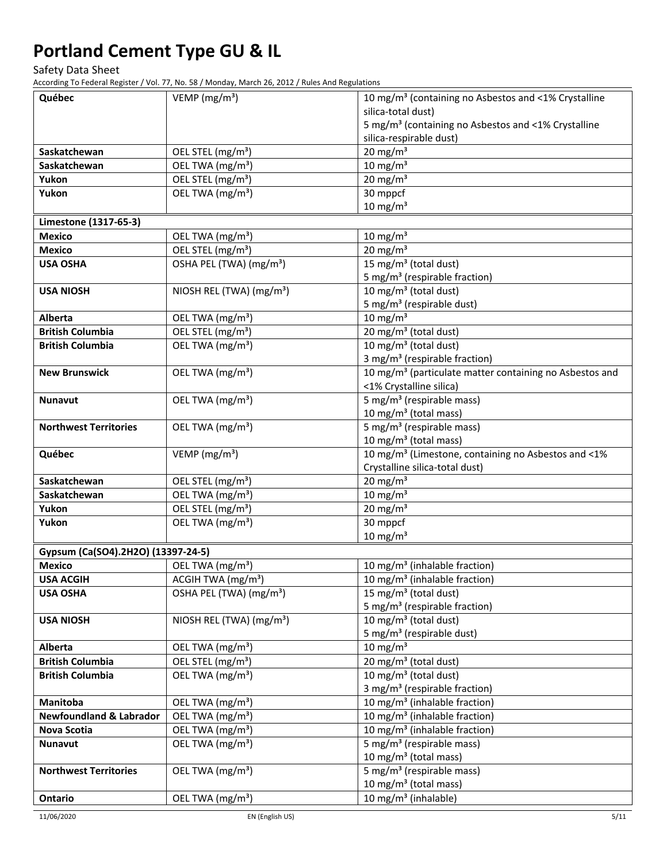Safety Data Sheet

According To Federal Register / Vol. 77, No. 58 / Monday, March 26, 2012 / Rules And Regulations

| Québec                             | VEMP ( $mg/m3$ )                                              | 10 mg/m <sup>3</sup> (containing no Asbestos and <1% Crystalline    |
|------------------------------------|---------------------------------------------------------------|---------------------------------------------------------------------|
|                                    |                                                               | silica-total dust)                                                  |
|                                    |                                                               | 5 mg/m <sup>3</sup> (containing no Asbestos and <1% Crystalline     |
|                                    |                                                               | silica-respirable dust)                                             |
| Saskatchewan                       | OEL STEL (mg/m <sup>3</sup> )                                 | 20 mg/m $\frac{1}{3}$                                               |
| Saskatchewan                       | OEL TWA (mg/m <sup>3</sup> )                                  | $10 \text{ mg/m}^3$                                                 |
| Yukon                              | OEL STEL (mg/m <sup>3</sup> )                                 | $20 \text{ mg/m}^3$                                                 |
| Yukon                              | OEL TWA (mg/m <sup>3</sup> )                                  | 30 mppcf                                                            |
|                                    |                                                               | $10 \text{ mg/m}^3$                                                 |
| Limestone (1317-65-3)              |                                                               |                                                                     |
| <b>Mexico</b>                      | OEL TWA (mg/m <sup>3</sup> )                                  | $10 \text{ mg/m}^3$                                                 |
| <b>Mexico</b>                      | OEL STEL (mg/m <sup>3</sup> )                                 | $20 \text{ mg/m}^3$                                                 |
| <b>USA OSHA</b>                    | OSHA PEL (TWA) (mg/m <sup>3</sup> )                           | 15 mg/m <sup>3</sup> (total dust)                                   |
|                                    |                                                               | 5 mg/m <sup>3</sup> (respirable fraction)                           |
| <b>USA NIOSH</b>                   | NIOSH REL (TWA) (mg/m <sup>3</sup> )                          | 10 mg/m <sup>3</sup> (total dust)                                   |
|                                    |                                                               | 5 mg/m <sup>3</sup> (respirable dust)                               |
| Alberta                            | OEL TWA (mg/m <sup>3</sup> )                                  | $10 \text{ mg/m}^3$                                                 |
| <b>British Columbia</b>            | OEL STEL (mg/m <sup>3</sup> )                                 | 20 mg/m <sup>3</sup> (total dust)                                   |
| <b>British Columbia</b>            | OEL TWA (mg/m <sup>3</sup> )                                  | 10 mg/m <sup>3</sup> (total dust)                                   |
|                                    |                                                               | 3 mg/m <sup>3</sup> (respirable fraction)                           |
| <b>New Brunswick</b>               | OEL TWA (mg/m <sup>3</sup> )                                  | 10 mg/m <sup>3</sup> (particulate matter containing no Asbestos and |
|                                    |                                                               | <1% Crystalline silica)                                             |
| <b>Nunavut</b>                     | OEL TWA (mg/m <sup>3</sup> )                                  | $\overline{5}$ mg/m <sup>3</sup> (respirable mass)                  |
|                                    |                                                               | 10 mg/m <sup>3</sup> (total mass)                                   |
| <b>Northwest Territories</b>       | OEL TWA (mg/m <sup>3</sup> )                                  | 5 mg/m <sup>3</sup> (respirable mass)                               |
|                                    |                                                               | 10 mg/m <sup>3</sup> (total mass)                                   |
| Québec                             | VEMP ( $mg/m3$ )                                              | 10 mg/m <sup>3</sup> (Limestone, containing no Asbestos and <1%     |
|                                    |                                                               | Crystalline silica-total dust)                                      |
| Saskatchewan                       | OEL STEL (mg/m <sup>3</sup> )                                 | $20 \text{ mg/m}^3$                                                 |
| Saskatchewan<br>Yukon              | OEL TWA (mg/m <sup>3</sup> )<br>OEL STEL (mg/m <sup>3</sup> ) | $10 \text{ mg/m}^3$<br>$20 \text{ mg/m}^3$                          |
| Yukon                              | OEL TWA (mg/m <sup>3</sup> )                                  | 30 mppcf                                                            |
|                                    |                                                               | $10 \text{ mg/m}^3$                                                 |
| Gypsum (Ca(SO4).2H2O) (13397-24-5) |                                                               |                                                                     |
| <b>Mexico</b>                      | OEL TWA (mg/m <sup>3</sup> )                                  | 10 mg/m <sup>3</sup> (inhalable fraction)                           |
| <b>USA ACGIH</b>                   | ACGIH TWA $(mg/m3)$                                           | 10 mg/m <sup>3</sup> (inhalable fraction)                           |
| <b>USA OSHA</b>                    | OSHA PEL (TWA) (mg/m <sup>3</sup> )                           | 15 mg/m <sup>3</sup> (total dust)                                   |
|                                    |                                                               | 5 mg/m <sup>3</sup> (respirable fraction)                           |
| <b>USA NIOSH</b>                   | NIOSH REL (TWA) (mg/m <sup>3</sup> )                          | 10 mg/m <sup>3</sup> (total dust)                                   |
|                                    |                                                               | 5 mg/m <sup>3</sup> (respirable dust)                               |
| Alberta                            | OEL TWA (mg/m <sup>3</sup> )                                  | $10 \text{ mg/m}^3$                                                 |
| <b>British Columbia</b>            | OEL STEL (mg/m <sup>3</sup> )                                 | 20 mg/m <sup>3</sup> (total dust)                                   |
| <b>British Columbia</b>            | OEL TWA (mg/m <sup>3</sup> )                                  | 10 mg/m <sup>3</sup> (total dust)                                   |
|                                    |                                                               | 3 mg/m <sup>3</sup> (respirable fraction)                           |
| <b>Manitoba</b>                    | OEL TWA (mg/m <sup>3</sup> )                                  | 10 mg/m <sup>3</sup> (inhalable fraction)                           |
| <b>Newfoundland &amp; Labrador</b> | OEL TWA (mg/m <sup>3</sup> )                                  | 10 mg/m <sup>3</sup> (inhalable fraction)                           |
| <b>Nova Scotia</b>                 | OEL TWA (mg/m <sup>3</sup> )                                  | 10 mg/m <sup>3</sup> (inhalable fraction)                           |
| Nunavut                            | OEL TWA (mg/m <sup>3</sup> )                                  | 5 mg/m <sup>3</sup> (respirable mass)                               |
|                                    |                                                               | 10 mg/m <sup>3</sup> (total mass)                                   |
| <b>Northwest Territories</b>       | OEL TWA (mg/m <sup>3</sup> )                                  | 5 mg/m <sup>3</sup> (respirable mass)                               |
|                                    |                                                               | 10 mg/m <sup>3</sup> (total mass)                                   |
| Ontario                            | OEL TWA (mg/m <sup>3</sup> )                                  | $\overline{10}$ mg/m <sup>3</sup> (inhalable)                       |

11/06/2020 EN (English US) 5/11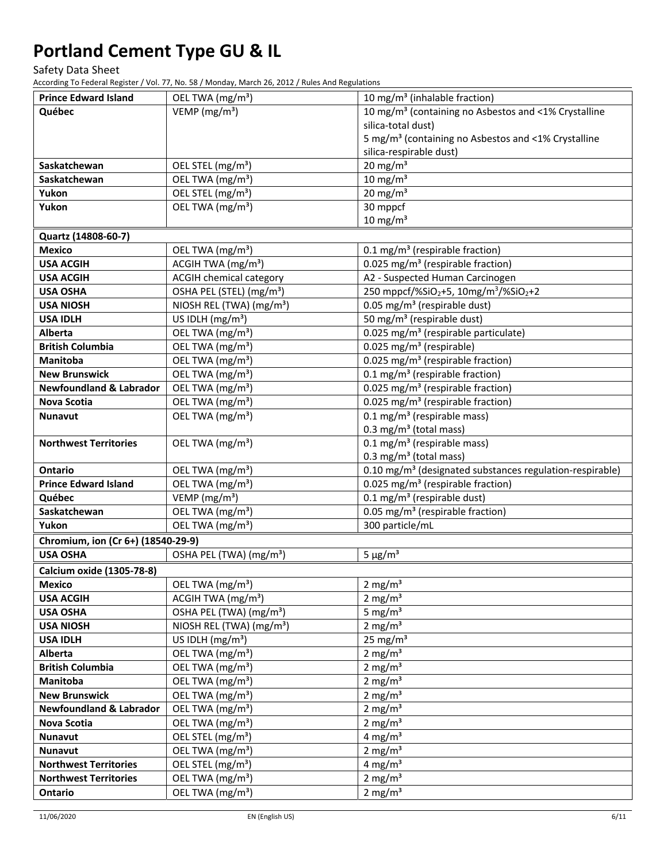Safety Data Sheet

According To Federal Register / Vol. 77, No. 58 / Monday, March 26, 2012 / Rules And Regulations

| <b>Prince Edward Island</b>        | OEL TWA (mg/m <sup>3</sup> )            | 10 mg/m <sup>3</sup> (inhalable fraction)                                 |
|------------------------------------|-----------------------------------------|---------------------------------------------------------------------------|
| Québec                             | $\overline{V}$ EMP (mg/m <sup>3</sup> ) | 10 mg/m <sup>3</sup> (containing no Asbestos and <1% Crystalline          |
|                                    |                                         | silica-total dust)                                                        |
|                                    |                                         | 5 mg/m <sup>3</sup> (containing no Asbestos and <1% Crystalline           |
|                                    |                                         | silica-respirable dust)                                                   |
| Saskatchewan                       | OEL STEL (mg/m <sup>3</sup> )           | 20 mg/m $3$                                                               |
| Saskatchewan                       | OEL TWA (mg/m <sup>3</sup> )            | $10 \text{ mg/m}^3$                                                       |
| Yukon                              | OEL STEL (mg/m <sup>3</sup> )           | $20 \text{ mg/m}^3$                                                       |
| Yukon                              | OEL TWA (mg/m <sup>3</sup> )            | 30 mppcf                                                                  |
|                                    |                                         | $10 \text{ mg/m}^3$                                                       |
| Quartz (14808-60-7)                |                                         |                                                                           |
| <b>Mexico</b>                      | OEL TWA (mg/m <sup>3</sup> )            | 0.1 mg/m <sup>3</sup> (respirable fraction)                               |
| <b>USA ACGIH</b>                   | ACGIH TWA (mg/m <sup>3</sup> )          | 0.025 mg/m <sup>3</sup> (respirable fraction)                             |
| <b>USA ACGIH</b>                   | <b>ACGIH chemical category</b>          | A2 - Suspected Human Carcinogen                                           |
| <b>USA OSHA</b>                    | OSHA PEL (STEL) (mg/m <sup>3</sup> )    | 250 mppcf/%SiO <sub>2</sub> +5, 10mg/m <sup>3</sup> /%SiO <sub>2</sub> +2 |
| <b>USA NIOSH</b>                   | NIOSH REL (TWA) (mg/m <sup>3</sup> )    | 0.05 mg/m <sup>3</sup> (respirable dust)                                  |
| <b>USA IDLH</b>                    | US IDLH (mg/m <sup>3</sup> )            | 50 mg/m <sup>3</sup> (respirable dust)                                    |
| Alberta                            | OEL TWA (mg/m <sup>3</sup> )            | 0.025 mg/m <sup>3</sup> (respirable particulate)                          |
| <b>British Columbia</b>            | OEL TWA (mg/m <sup>3</sup> )            | $0.025$ mg/m <sup>3</sup> (respirable)                                    |
| <b>Manitoba</b>                    | OEL TWA (mg/m <sup>3</sup> )            | 0.025 mg/m <sup>3</sup> (respirable fraction)                             |
| <b>New Brunswick</b>               | OEL TWA (mg/m <sup>3</sup> )            | 0.1 mg/m <sup>3</sup> (respirable fraction)                               |
| <b>Newfoundland &amp; Labrador</b> | OEL TWA (mg/m <sup>3</sup> )            | 0.025 mg/m <sup>3</sup> (respirable fraction)                             |
| <b>Nova Scotia</b>                 | OEL TWA (mg/m <sup>3</sup> )            | 0.025 mg/m <sup>3</sup> (respirable fraction)                             |
| <b>Nunavut</b>                     | OEL TWA (mg/m <sup>3</sup> )            | $0.1 \text{ mg/m}^3$ (respirable mass)                                    |
|                                    |                                         | 0.3 mg/m <sup>3</sup> (total mass)                                        |
| <b>Northwest Territories</b>       | OEL TWA (mg/m <sup>3</sup> )            | $0.1 \text{ mg/m}^3$ (respirable mass)                                    |
|                                    |                                         | 0.3 mg/m <sup>3</sup> (total mass)                                        |
| <b>Ontario</b>                     | OEL TWA (mg/m <sup>3</sup> )            | 0.10 mg/m <sup>3</sup> (designated substances regulation-respirable)      |
| <b>Prince Edward Island</b>        | OEL TWA (mg/m <sup>3</sup> )            | 0.025 mg/m <sup>3</sup> (respirable fraction)                             |
| Québec                             | VEMP ( $mg/m3$ )                        | $\overline{0.1}$ mg/m <sup>3</sup> (respirable dust)                      |
| Saskatchewan                       | OEL TWA (mg/m <sup>3</sup> )            | 0.05 mg/m <sup>3</sup> (respirable fraction)                              |
| Yukon                              | OEL TWA (mg/m <sup>3</sup> )            | 300 particle/mL                                                           |
| Chromium, ion (Cr 6+) (18540-29-9) |                                         |                                                                           |
| <b>USA OSHA</b>                    | OSHA PEL (TWA) (mg/m <sup>3</sup> )     | $5 \mu g/m^3$                                                             |
| Calcium oxide (1305-78-8)          |                                         |                                                                           |
| <b>Mexico</b>                      | OEL TWA (mg/m <sup>3</sup> )            | 2 mg/ $m3$                                                                |
| <b>USA ACGIH</b>                   | ACGIH TWA (mg/m <sup>3</sup> )          | 2 mg/ $m3$                                                                |
| <b>USA OSHA</b>                    | OSHA PEL (TWA) (mg/m <sup>3</sup> )     | 5 mg/ $m3$                                                                |
| <b>USA NIOSH</b>                   | NIOSH REL (TWA) (mg/m <sup>3</sup> )    | 2 mg/ $m3$                                                                |
| <b>USA IDLH</b>                    | US IDLH $(mg/m3)$                       | 25 mg/ $m3$                                                               |
| Alberta                            | OEL TWA (mg/m <sup>3</sup> )            | 2 mg/ $m3$                                                                |
| <b>British Columbia</b>            | OEL TWA (mg/m <sup>3</sup> )            | 2 mg/ $m3$                                                                |
| Manitoba                           | OEL TWA (mg/m <sup>3</sup> )            | 2 mg/ $m3$                                                                |
| <b>New Brunswick</b>               | OEL TWA (mg/m <sup>3</sup> )            | 2 mg/ $m3$                                                                |
| <b>Newfoundland &amp; Labrador</b> | OEL TWA (mg/m <sup>3</sup> )            | 2 mg/ $m3$                                                                |
| <b>Nova Scotia</b>                 | OEL TWA (mg/m <sup>3</sup> )            | 2 mg/ $m3$                                                                |
| <b>Nunavut</b>                     | OEL STEL (mg/m <sup>3</sup> )           | 4 mg/ $m3$                                                                |
| <b>Nunavut</b>                     | OEL TWA (mg/m <sup>3</sup> )            | 2 mg/ $m3$                                                                |
| <b>Northwest Territories</b>       | OEL STEL (mg/m <sup>3</sup> )           | 4 mg/ $m3$                                                                |
| <b>Northwest Territories</b>       | OEL TWA (mg/m <sup>3</sup> )            | 2 mg/ $m3$                                                                |
| Ontario                            | OEL TWA (mg/m <sup>3</sup> )            | $2 \text{ mg/m}^3$                                                        |
|                                    |                                         |                                                                           |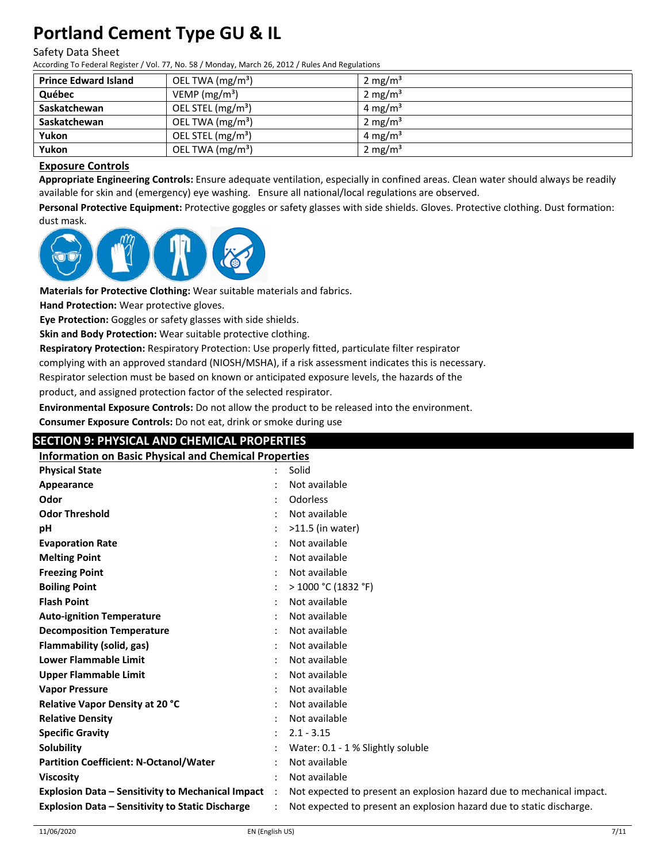## Safety Data Sheet

According To Federal Register / Vol. 77, No. 58 / Monday, March 26, 2012 / Rules And Regulations

| <b>Prince Edward Island</b> | OEL TWA (mg/m <sup>3</sup> )  | 2 mg/m <sup>3</sup> |
|-----------------------------|-------------------------------|---------------------|
| Québec                      | VEMP ( $mg/m3$ )              | $2 \text{ mg/m}^3$  |
| Saskatchewan                | OEL STEL (mg/m <sup>3</sup> ) | 4 mg/m <sup>3</sup> |
| Saskatchewan                | OEL TWA $(mg/m3)$             | 2 mg/ $m3$          |
| Yukon                       | OEL STEL (mg/m <sup>3</sup> ) | 4 mg/m <sup>3</sup> |
| Yukon                       | OEL TWA $(mg/m3)$             | 2 mg/m <sup>3</sup> |

## **Exposure Controls**

**Appropriate Engineering Controls:** Ensure adequate ventilation, especially in confined areas. Clean water should always be readily available for skin and (emergency) eye washing. Ensure all national/local regulations are observed.

**Personal Protective Equipment:** Protective goggles or safety glasses with side shields. Gloves. Protective clothing. Dust formation: dust mask.



**Materials for Protective Clothing:** Wear suitable materials and fabrics.

**Hand Protection:** Wear protective gloves.

**Eye Protection:** Goggles or safety glasses with side shields.

**Skin and Body Protection:** Wear suitable protective clothing.

**Respiratory Protection:** Respiratory Protection: Use properly fitted, particulate filter respirator

complying with an approved standard (NIOSH/MSHA), if a risk assessment indicates this is necessary.

Respirator selection must be based on known or anticipated exposure levels, the hazards of the

product, and assigned protection factor of the selected respirator.

**Environmental Exposure Controls:** Do not allow the product to be released into the environment.

**Consumer Exposure Controls:** Do not eat, drink or smoke during use

## **SECTION 9: PHYSICAL AND CHEMICAL PROPERTIES**

| <b>Information on Basic Physical and Chemical Properties</b> |           |                                                                       |  |  |
|--------------------------------------------------------------|-----------|-----------------------------------------------------------------------|--|--|
| <b>Physical State</b>                                        |           | Solid                                                                 |  |  |
| Appearance                                                   |           | Not available                                                         |  |  |
| Odor                                                         |           | Odorless                                                              |  |  |
| <b>Odor Threshold</b>                                        |           | Not available                                                         |  |  |
| pH                                                           |           | $>11.5$ (in water)                                                    |  |  |
| <b>Evaporation Rate</b>                                      |           | Not available                                                         |  |  |
| <b>Melting Point</b>                                         |           | Not available                                                         |  |  |
| <b>Freezing Point</b>                                        |           | Not available                                                         |  |  |
| <b>Boiling Point</b>                                         |           | > 1000 °C (1832 °F)                                                   |  |  |
| <b>Flash Point</b>                                           |           | Not available                                                         |  |  |
| <b>Auto-ignition Temperature</b>                             |           | Not available                                                         |  |  |
| <b>Decomposition Temperature</b>                             |           | Not available                                                         |  |  |
| Flammability (solid, gas)                                    |           | Not available                                                         |  |  |
| <b>Lower Flammable Limit</b>                                 |           | Not available                                                         |  |  |
| <b>Upper Flammable Limit</b>                                 |           | Not available                                                         |  |  |
| <b>Vapor Pressure</b>                                        |           | Not available                                                         |  |  |
| <b>Relative Vapor Density at 20 °C</b>                       |           | Not available                                                         |  |  |
| <b>Relative Density</b>                                      |           | Not available                                                         |  |  |
| <b>Specific Gravity</b>                                      |           | $2.1 - 3.15$                                                          |  |  |
| <b>Solubility</b>                                            |           | Water: 0.1 - 1 % Slightly soluble                                     |  |  |
| <b>Partition Coefficient: N-Octanol/Water</b>                |           | Not available                                                         |  |  |
| <b>Viscosity</b>                                             |           | Not available                                                         |  |  |
| <b>Explosion Data - Sensitivity to Mechanical Impact</b>     | $\cdot$ : | Not expected to present an explosion hazard due to mechanical impact. |  |  |
| <b>Explosion Data - Sensitivity to Static Discharge</b>      |           | Not expected to present an explosion hazard due to static discharge.  |  |  |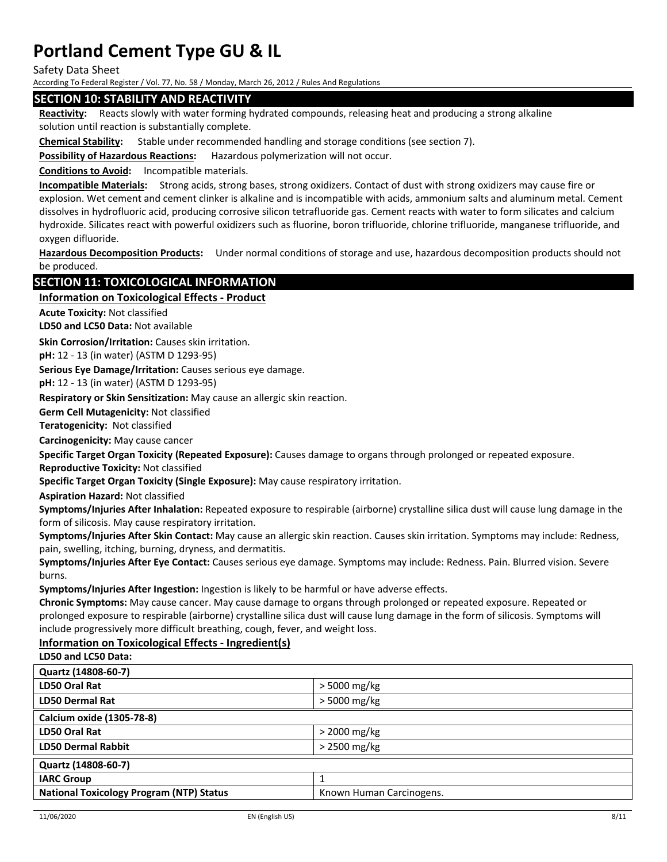Safety Data Sheet

According To Federal Register / Vol. 77, No. 58 / Monday, March 26, 2012 / Rules And Regulations

## **SECTION 10: STABILITY AND REACTIVITY**

**Reactivity:** Reacts slowly with water forming hydrated compounds, releasing heat and producing a strong alkaline solution until reaction is substantially complete.

**Chemical Stability:** Stable under recommended handling and storage conditions (see section 7).

**Possibility of Hazardous Reactions:** Hazardous polymerization will not occur.

**Conditions to Avoid:** Incompatible materials.

**Incompatible Materials:** Strong acids, strong bases, strong oxidizers. Contact of dust with strong oxidizers may cause fire or explosion. Wet cement and cement clinker is alkaline and is incompatible with acids, ammonium salts and aluminum metal. Cement dissolves in hydrofluoric acid, producing corrosive silicon tetrafluoride gas. Cement reacts with water to form silicates and calcium hydroxide. Silicates react with powerful oxidizers such as fluorine, boron trifluoride, chlorine trifluoride, manganese trifluoride, and oxygen difluoride.

**Hazardous Decomposition Products:** Under normal conditions of storage and use, hazardous decomposition products should not be produced.

## **SECTION 11: TOXICOLOGICAL INFORMATION**

### **Information on Toxicological Effects ‐ Product**

**Acute Toxicity:** Not classified

**LD50 and LC50 Data:** Not available

**Skin Corrosion/Irritation:** Causes skin irritation.

**pH:** 12 ‐ 13 (in water) (ASTM D 1293‐95)

**Serious Eye Damage/Irritation:** Causes serious eye damage.

**pH:** 12 ‐ 13 (in water) (ASTM D 1293‐95)

**Respiratory or Skin Sensitization:** May cause an allergic skin reaction.

**Germ Cell Mutagenicity:** Not classified

**Teratogenicity:** Not classified

**Carcinogenicity:** May cause cancer

**Specific Target Organ Toxicity (Repeated Exposure):** Causes damage to organs through prolonged or repeated exposure.

**Reproductive Toxicity:** Not classified

**Specific Target Organ Toxicity (Single Exposure):** May cause respiratory irritation.

**Aspiration Hazard:** Not classified

**Symptoms/Injuries After Inhalation:** Repeated exposure to respirable (airborne) crystalline silica dust will cause lung damage in the form of silicosis. May cause respiratory irritation.

**Symptoms/Injuries After Skin Contact:** May cause an allergic skin reaction. Causes skin irritation. Symptoms may include: Redness, pain, swelling, itching, burning, dryness, and dermatitis.

**Symptoms/Injuries After Eye Contact:** Causes serious eye damage. Symptoms may include: Redness. Pain. Blurred vision. Severe burns.

**Symptoms/Injuries After Ingestion:** Ingestion is likely to be harmful or have adverse effects.

**Chronic Symptoms:** May cause cancer. May cause damage to organs through prolonged or repeated exposure. Repeated or prolonged exposure to respirable (airborne) crystalline silica dust will cause lung damage in the form of silicosis. Symptoms will include progressively more difficult breathing, cough, fever, and weight loss.

## **Information on Toxicological Effects ‐ Ingredient(s)**

## **LD50 and LC50 Data:**

| > 5000 mg/kg             |  |  |
|--------------------------|--|--|
| > 5000 mg/kg             |  |  |
|                          |  |  |
| $>$ 2000 mg/kg           |  |  |
| $>$ 2500 mg/kg           |  |  |
| Quartz (14808-60-7)      |  |  |
|                          |  |  |
| Known Human Carcinogens. |  |  |
|                          |  |  |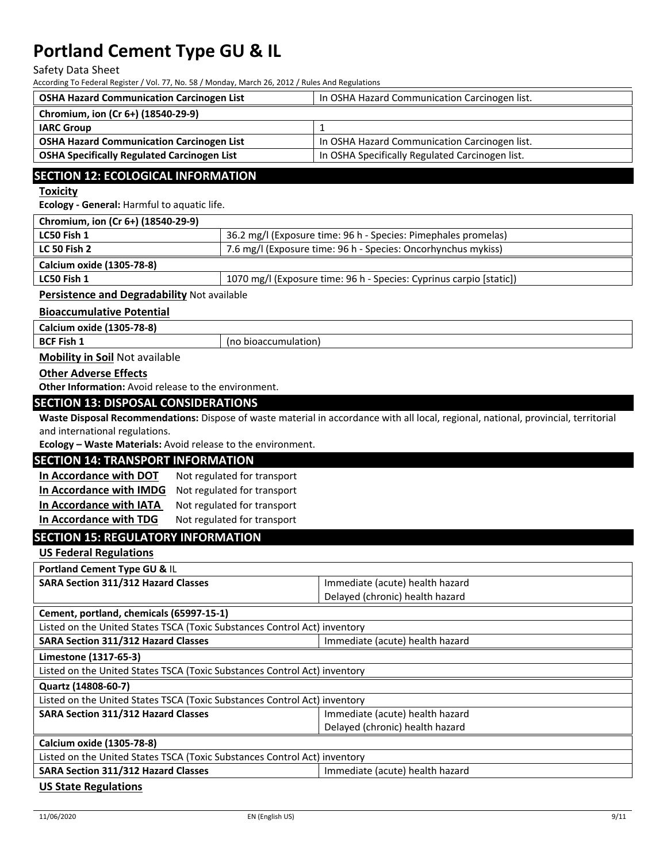#### Safety Data Sheet

According To Federal Register / Vol. 77, No. 58 / Monday, March 26, 2012 / Rules And Regulations

| <b>OSHA Hazard Communication Carcinogen List</b>   | In OSHA Hazard Communication Carcinogen list.   |
|----------------------------------------------------|-------------------------------------------------|
| Chromium, ion (Cr 6+) (18540-29-9)                 |                                                 |
| <b>IARC Group</b>                                  |                                                 |
| <b>OSHA Hazard Communication Carcinogen List</b>   | In OSHA Hazard Communication Carcinogen list.   |
| <b>OSHA Specifically Regulated Carcinogen List</b> | In OSHA Specifically Regulated Carcinogen list. |
|                                                    |                                                 |

## **SECTION 12: ECOLOGICAL INFORMATION**

**Toxicity** 

**Ecology ‐ General:** Harmful to aquatic life.

| Chromium, ion (Cr 6+) (18540-29-9)                 |                                                                     |
|----------------------------------------------------|---------------------------------------------------------------------|
| LC50 Fish 1                                        | 36.2 mg/l (Exposure time: 96 h - Species: Pimephales promelas)      |
| <b>LC 50 Fish 2</b>                                | 7.6 mg/l (Exposure time: 96 h - Species: Oncorhynchus mykiss)       |
| Calcium oxide (1305-78-8)                          |                                                                     |
| LC50 Fish 1                                        | 1070 mg/l (Exposure time: 96 h - Species: Cyprinus carpio [static]) |
| <b>Persistence and Degradability Not available</b> |                                                                     |

**Persistence and Degradability** Not available

**Bioaccumulative Potential**

**Calcium oxide (1305‐78‐8)**

**BCF** Fish 1 (no bioaccumulation)

**Mobility in Soil** Not available

### **Other Adverse Effects**

**Other Information:** Avoid release to the environment.

## **SECTION 13: DISPOSAL CONSIDERATIONS**

**Waste Disposal Recommendations:** Dispose of waste material in accordance with all local, regional, national, provincial, territorial and international regulations.

**Ecology – Waste Materials:** Avoid release to the environment.

### **SECTION 14: TRANSPORT INFORMATION**

| In Accordance with DOT  | Not regulated for transport |
|-------------------------|-----------------------------|
| In Accordance with IMDG | Not regulated for transport |
| In Accordance with IATA | Not regulated for transport |
| In Accordance with TDG  | Not regulated for transport |

## **SECTION 15: REGULATORY INFORMATION**

**US Federal Regulations**

| Portland Cement Type GU & IL                                                  |                                 |  |
|-------------------------------------------------------------------------------|---------------------------------|--|
| <b>SARA Section 311/312 Hazard Classes</b>                                    | Immediate (acute) health hazard |  |
|                                                                               | Delayed (chronic) health hazard |  |
| Cement, portland, chemicals (65997-15-1)                                      |                                 |  |
| Listed on the United States TSCA (Toxic Substances Control Act) inventory     |                                 |  |
| <b>SARA Section 311/312 Hazard Classes</b>                                    | Immediate (acute) health hazard |  |
| Limestone (1317-65-3)                                                         |                                 |  |
| Listed on the United States TSCA (Toxic Substances Control Act) inventory     |                                 |  |
| Quartz (14808-60-7)                                                           |                                 |  |
| Listed on the United States TSCA (Toxic Substances Control Act) inventory     |                                 |  |
| <b>SARA Section 311/312 Hazard Classes</b>                                    | Immediate (acute) health hazard |  |
|                                                                               | Delayed (chronic) health hazard |  |
| Calcium oxide (1305-78-8)                                                     |                                 |  |
| Listed on the United States TSCA (Toxic Substances Control Act) inventory     |                                 |  |
| <b>SARA Section 311/312 Hazard Classes</b><br>Immediate (acute) health hazard |                                 |  |
|                                                                               |                                 |  |

**US State Regulations**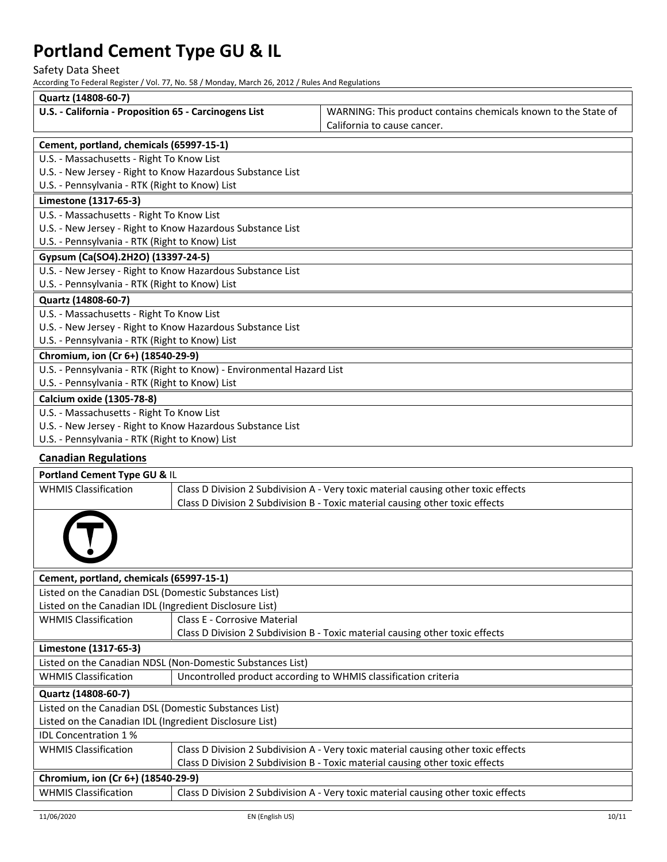Safety Data Sheet

According To Federal Register / Vol. 77, No. 58 / Monday, March 26, 2012 / Rules And Regulations

| Quartz (14808-60-7)                                                   |  |                                                                                    |
|-----------------------------------------------------------------------|--|------------------------------------------------------------------------------------|
| U.S. - California - Proposition 65 - Carcinogens List                 |  | WARNING: This product contains chemicals known to the State of                     |
|                                                                       |  | California to cause cancer.                                                        |
| Cement, portland, chemicals (65997-15-1)                              |  |                                                                                    |
| U.S. - Massachusetts - Right To Know List                             |  |                                                                                    |
| U.S. - New Jersey - Right to Know Hazardous Substance List            |  |                                                                                    |
| U.S. - Pennsylvania - RTK (Right to Know) List                        |  |                                                                                    |
| Limestone (1317-65-3)                                                 |  |                                                                                    |
| U.S. - Massachusetts - Right To Know List                             |  |                                                                                    |
| U.S. - New Jersey - Right to Know Hazardous Substance List            |  |                                                                                    |
| U.S. - Pennsylvania - RTK (Right to Know) List                        |  |                                                                                    |
| Gypsum (Ca(SO4).2H2O) (13397-24-5)                                    |  |                                                                                    |
| U.S. - New Jersey - Right to Know Hazardous Substance List            |  |                                                                                    |
| U.S. - Pennsylvania - RTK (Right to Know) List                        |  |                                                                                    |
| Quartz (14808-60-7)                                                   |  |                                                                                    |
| U.S. - Massachusetts - Right To Know List                             |  |                                                                                    |
| U.S. - New Jersey - Right to Know Hazardous Substance List            |  |                                                                                    |
| U.S. - Pennsylvania - RTK (Right to Know) List                        |  |                                                                                    |
| Chromium, ion (Cr 6+) (18540-29-9)                                    |  |                                                                                    |
| U.S. - Pennsylvania - RTK (Right to Know) - Environmental Hazard List |  |                                                                                    |
| U.S. - Pennsylvania - RTK (Right to Know) List                        |  |                                                                                    |
| <b>Calcium oxide (1305-78-8)</b>                                      |  |                                                                                    |
| U.S. - Massachusetts - Right To Know List                             |  |                                                                                    |
| U.S. - New Jersey - Right to Know Hazardous Substance List            |  |                                                                                    |
| U.S. - Pennsylvania - RTK (Right to Know) List                        |  |                                                                                    |
| <b>Canadian Regulations</b>                                           |  |                                                                                    |
| Portland Cement Type GU & IL                                          |  |                                                                                    |
| <b>WHMIS Classification</b>                                           |  | Class D Division 2 Subdivision A - Very toxic material causing other toxic effects |

| 'HMIS Classification |  |
|----------------------|--|
|                      |  |

| Cement, portland, chemicals (65997-15-1)                   |                                                                                    |  |  |  |
|------------------------------------------------------------|------------------------------------------------------------------------------------|--|--|--|
| Listed on the Canadian DSL (Domestic Substances List)      |                                                                                    |  |  |  |
| Listed on the Canadian IDL (Ingredient Disclosure List)    |                                                                                    |  |  |  |
| <b>WHMIS Classification</b>                                | Class E - Corrosive Material                                                       |  |  |  |
|                                                            | Class D Division 2 Subdivision B - Toxic material causing other toxic effects      |  |  |  |
| Limestone (1317-65-3)                                      |                                                                                    |  |  |  |
| Listed on the Canadian NDSL (Non-Domestic Substances List) |                                                                                    |  |  |  |
| <b>WHMIS Classification</b>                                | Uncontrolled product according to WHMIS classification criteria                    |  |  |  |
| Quartz (14808-60-7)                                        |                                                                                    |  |  |  |
| Listed on the Canadian DSL (Domestic Substances List)      |                                                                                    |  |  |  |
| Listed on the Canadian IDL (Ingredient Disclosure List)    |                                                                                    |  |  |  |
| <b>IDL Concentration 1%</b>                                |                                                                                    |  |  |  |
| <b>WHMIS Classification</b>                                | Class D Division 2 Subdivision A - Very toxic material causing other toxic effects |  |  |  |
|                                                            | Class D Division 2 Subdivision B - Toxic material causing other toxic effects      |  |  |  |
| Chromium, ion (Cr 6+) (18540-29-9)                         |                                                                                    |  |  |  |
| <b>WHMIS Classification</b>                                | Class D Division 2 Subdivision A - Very toxic material causing other toxic effects |  |  |  |

Class D Division 2 Subdivision B ‐ Toxic material causing other toxic effects